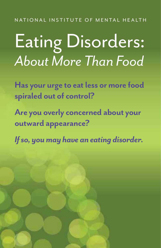NATIONAL INSTITUTE OF MENTAL HE ALTH

# Eating Disorders: *About More Than Food*

**Has your urge to eat less or more food spiraled out of control?** 

**Are you overly concerned about your outward appearance?** 

*If so, you may have an eating disorder.*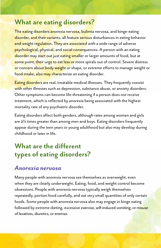## **What are eating disorders?**

The eating disorders anorexia nervosa, bulimia nervosa, and binge-eating disorder, and their variants, all feature serious disturbances in eating behavior and weight regulation. They are associated with a wide range of adverse psychological, physical, and social consequences. A person with an eating disorder may start out just eating smaller or larger amounts of food, but at some point, their urge to eat less or more spirals out of control. Severe distress or concern about body weight or shape, or extreme efforts to manage weight or food intake, also may characterize an eating disorder.

Eating disorders are real, treatable medical illnesses. They frequently coexist with other illnesses such as depression, substance abuse, or anxiety disorders. Other symptoms can become life-threatening if a person does not receive treatment, which is reflected by anorexia being associated with the highest mortality rate of any psychiatric disorder.

Eating disorders affect both genders, although rates among women and girls are 2½ times greater than among men and boys. Eating disorders frequently appear during the teen years or young adulthood but also may develop during childhood or later in life.

## **What are the different types of eating disorders?**

#### *Anorexia nervosa*

Many people with anorexia nervosa see themselves as overweight, even when they are clearly underweight. Eating, food, and weight control become obsessions. People with anorexia nervosa typically weigh themselves repeatedly, portion food carefully, and eat very small quantities of only certain foods. Some people with anorexia nervosa also may engage in binge eating followed by extreme dieting, excessive exercise, self-induced vomiting, or misuse of laxatives, diuretics, or enemas.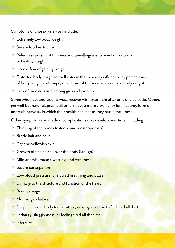Symptoms of anorexia nervosa include:

- ◗ Extremely low body weight
- ◗ Severe food restriction
- ◗ Relentless pursuit of thinness and unwillingness to maintain a normal or healthy weight
- ◗ Intense fear of gaining weight
- ◗ Distorted body image and self-esteem that is heavily influenced by perceptions of body weight and shape, or a denial of the seriousness of low body weight
- ◗ Lack of menstruation among girls and women.

Some who have anorexia nervosa recover with treatment after only one episode. Others get well but have relapses. Still others have a more chronic, or long-lasting, form of anorexia nervosa, in which their health declines as they battle the illness.

Other symptoms and medical complications may develop over time, including:

- ◗ Thinning of the bones (osteopenia or osteoporosis)
- Brittle hair and nails
- ◗ Dry and yellowish skin
- ◗ Growth of fine hair all over the body (lanugo)
- Mild anemia, muscle wasting, and weakness ◗
- Severe constipation ◗
- **I** Low blood pressure, or slowed breathing and pulse
- ◗ Damage to the structure and function of the heart
- Brain damage
- ◗ Multi-organ failure
- Drop in internal body temperature, causing a person to feel cold all the time
- Lethargy, sluggishness, or feeling tired all the time
- Infertility.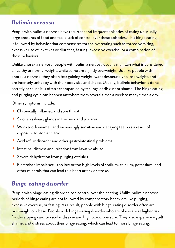#### *Bulimia nervosa*

People with bulimia nervosa have recurrent and frequent episodes of eating unusually large amounts of food and feel a lack of control over these episodes. This binge eating is followed by behavior that compensates for the overeating such as forced vomiting, excessive use of laxatives or diuretics, fasting, excessive exercise, or a combination of these behaviors.

Unlike anorexia nervosa, people with bulimia nervosa usually maintain what is considered a healthy or normal weight, while some are slightly overweight. But like people with anorexia nervosa, they often fear gaining weight, want desperately to lose weight, and are intensely unhappy with their body size and shape. Usually, bulimic behavior is done secretly because it is often accompanied by feelings of disgust or shame. The binge eating and purging cycle can happen anywhere from several times a week to many times a day.

Other symptoms include:

- ◗ Chronically inflamed and sore throat
- Swollen salivary glands in the neck and jaw area
- ◗ Worn tooth enamel, and increasingly sensitive and decaying teeth as a result of exposure to stomach acid
- ◗ Acid reflux disorder and other gastrointestinal problems
- ◗ Intestinal distress and irritation from laxative abuse
- ◗ Severe dehydration from purging of fluids
- ◗ Electrolyte imbalance—too low or too high levels of sodium, calcium, potassium, and other minerals that can lead to a heart attack or stroke.

### *Binge-eating disorder*

People with binge-eating disorder lose control over their eating. Unlike bulimia nervosa, periods of binge eating are not followed by compensatory behaviors like purging, excessive exercise, or fasting. As a result, people with binge-eating disorder often are overweight or obese. People with binge-eating disorder who are obese are at higher risk for developing cardiovascular disease and high blood pressure. They also experience guilt, shame, and distress about their binge eating, which can lead to more binge eating.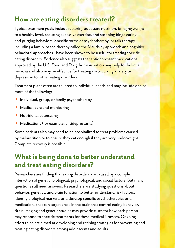## **How are eating disorders treated?**

Typical treatment goals include restoring adequate nutrition, bringing weight to a healthy level, reducing excessive exercise, and stopping binge eating and purging behaviors. Specific forms of psychotherapy, or talk therapy including a family-based therapy called the Maudsley approach and cognitive behavioral approaches—have been shown to be useful for treating specific eating disorders. Evidence also suggests that antidepressant medications approved by the U.S. Food and Drug Administration may help for bulimia nervosa and also may be effective for treating co-occurring anxiety or depression for other eating disorders.

Treatment plans often are tailored to individual needs and may include one or more of the following:

- ◗ Individual, group, or family psychotherapy
- ◗ Medical care and monitoring
- ◗ Nutritional counseling
- Medications (for example, antidepressants).

Some patients also may need to be hospitalized to treat problems caused by malnutrition or to ensure they eat enough if they are very underweight. Complete recovery is possible

## **What is being done to better understand and treat eating disorders?**

Researchers are finding that eating disorders are caused by a complex interaction of genetic, biological, psychological, and social factors. But many questions still need answers. Researchers are studying questions about behavior, genetics, and brain function to better understand risk factors, identify biological markers, and develop specific psychotherapies and medications that can target areas in the brain that control eating behavior. Brain imaging and genetic studies may provide clues for how each person may respond to specific treatments for these medical illnesses. Ongoing efforts also are aimed at developing and refining strategies for preventing and treating eating disorders among adolescents and adults.